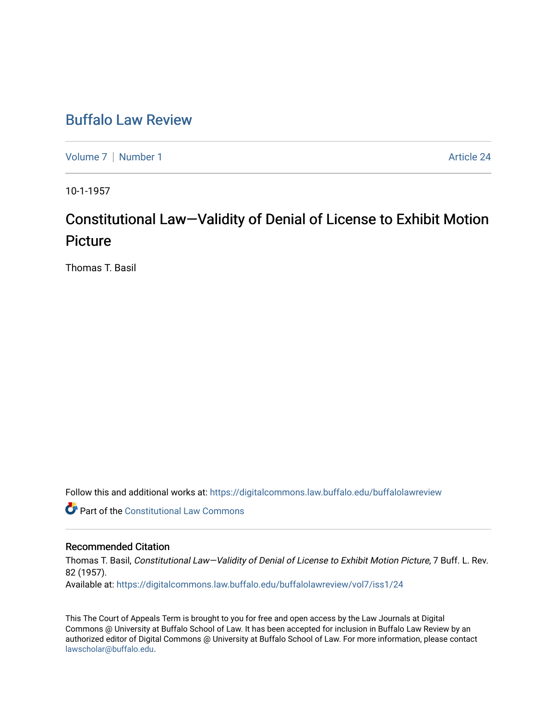## [Buffalo Law Review](https://digitalcommons.law.buffalo.edu/buffalolawreview)

[Volume 7](https://digitalcommons.law.buffalo.edu/buffalolawreview/vol7) | [Number 1](https://digitalcommons.law.buffalo.edu/buffalolawreview/vol7/iss1) Article 24

10-1-1957

# Constitutional Law—Validity of Denial of License to Exhibit Motion Picture

Thomas T. Basil

Follow this and additional works at: [https://digitalcommons.law.buffalo.edu/buffalolawreview](https://digitalcommons.law.buffalo.edu/buffalolawreview?utm_source=digitalcommons.law.buffalo.edu%2Fbuffalolawreview%2Fvol7%2Fiss1%2F24&utm_medium=PDF&utm_campaign=PDFCoverPages) 

**Part of the Constitutional Law Commons** 

### Recommended Citation

Thomas T. Basil, Constitutional Law—Validity of Denial of License to Exhibit Motion Picture, 7 Buff. L. Rev. 82 (1957). Available at: [https://digitalcommons.law.buffalo.edu/buffalolawreview/vol7/iss1/24](https://digitalcommons.law.buffalo.edu/buffalolawreview/vol7/iss1/24?utm_source=digitalcommons.law.buffalo.edu%2Fbuffalolawreview%2Fvol7%2Fiss1%2F24&utm_medium=PDF&utm_campaign=PDFCoverPages) 

This The Court of Appeals Term is brought to you for free and open access by the Law Journals at Digital Commons @ University at Buffalo School of Law. It has been accepted for inclusion in Buffalo Law Review by an authorized editor of Digital Commons @ University at Buffalo School of Law. For more information, please contact [lawscholar@buffalo.edu](mailto:lawscholar@buffalo.edu).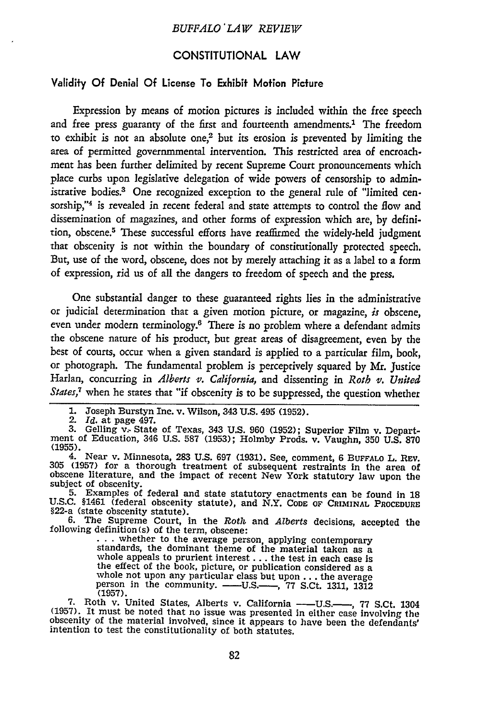#### **CONSTITUTIONAL** LAW

#### Validity **Of** Denial **Of** License To Exhibit Motion Picture

Expression **by** means of motion pictures is included within the free speech and free press guaranty of the first and fourteenth amendments.1 The freedom to exhibit is not an absolute one,2 but its erosion is prevented **by** limiting the area of permitted governmmental intervention. This restricted area of encroachment has been further delimited **by** recent Supreme Court pronouncements which place curbs upon legislative delegation of wide powers of censorship to administrative bodies.3 One recognized exception to the general rule of "limited censorship,"4 is revealed in recent federal and state attempts to control the flow and dissemination of magazines, and other forms of expression which are, **by** definition, obscene.<sup>5</sup> These successful efforts have reaffirmed the widely-held judgment that obscenity is not within the boundary of constitutionally protected speech. But, use of the word, obscene, does not **by** merely attaching it as a label to a form of expression, rid us of all the dangers to freedom of speech and the press.

One substantial danger to these guaranteed rights lies in the administrative or judicial determination that a given motion picture, or magazine, *is* obscene, even under modern terminology.6 There is no problem where a defendant admits the obscene nature of his product, but great areas of disagreement, even **by** the best of courts, occur when a given standard is applied to a particular film, book, or photograph. The fundamental problem is perceptively squared **by** Mr. Justice Harlan, concurring in *Alberts v. California,* and dissenting in *Roth v. United States7* when he states that "if obscenity is to be suppressed, the question whether

2. *Id.* at page 497.

subject of obscenity.<br>
5. Examples of federal and state statutory enactments can be found in 18<br>
U.S.C. §1461 (federal obscenity statute), and N.Y. CODE OF CRIMINAL PROCEDURE

§22-a (state obscenity statute). **6.** The Supreme Court, in the *Roth* **and** *Alberts* decisions, accepted the

... whether to the average person, applying contemporary standards, the dominant theme of the material taken as a whole appeals to prurient interest  $\ldots$  the test in each case is<br>the effect of the book, picture, or publication considered as a<br>whole not upon any particular class but upon  $\ldots$  the average<br>person in the community. ——U whole not upon any particular class but upon ... the average<br>person in the community. ——U.S.——, 77 S.Ct. 1311, 1312 **(1957).**

**7.** Roth v. United States, Alberts v. California **- U.S.- , 77** S.Ct. 1304 **(1957).** It must be noted that no issue was presented in either case involving the obscenity of the material involved, since it appears to have been the defendants' intention to test the constitutionality of both statutes.

**<sup>1.</sup>** Joseph Burstyn Inc. v. Wilson, 343 **U.S.** 495 **(1952).**

**<sup>3.</sup>** Gelling v, State of Texas, 343 **U.S. 960 (1952);** Superior Film v. Depart- ment of Education, 346 **U.S. 587 (1953);** Holmby Prods. v. Vaughn, **350 U.S. 870 (1955).** 4. Near v. Minnesota, **283 U.S. 697 (1931).** See, comment, **6 BUFFALO** L. REv.

**<sup>305 (1957)</sup>** for a thorough treatment of subsequent restraints in the area of  $305$  (1957) for a thorough treatment of subsequent restraints in the area of obscene literature, and the impact of recent New York statutory law upon the subject of obscenity.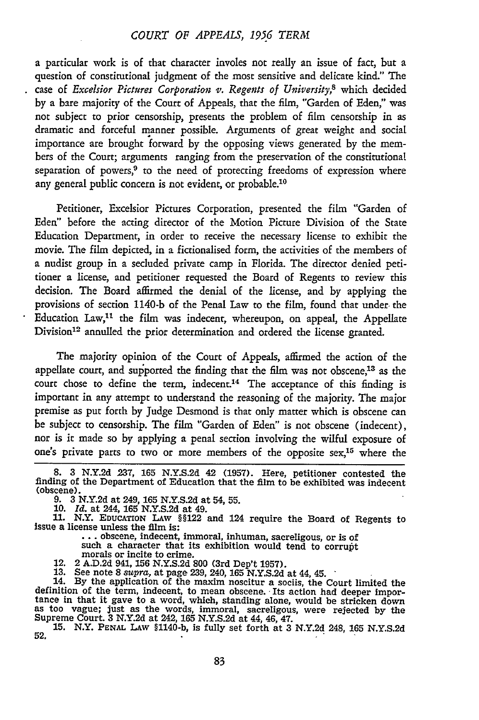#### *COURT OF APPEALS, 1956 TERM*

a particular work is of that character involes not really an issue of fact, but a question of constitutional judgment of the most sensitive and delicate kind." The case of *Excelsior Pictures Corporation v. Regents of University,8* which decided by a bare majority of the Court of Appeals, that the film, "Garden of Eden," was not subject to prior censorship, presents the problem of film censorship in as dramatic and forceful manner possible. Arguments of great weight and social importance are brought forward by the opposing views generated by the members of the Court; arguments ranging from the preservation of the constitutional separation of powers, $9$  to the need of protecting freedoms of expression where any general public concern is not evident, or probable.<sup>10</sup>

Petitioner, Excelsior Pictures Corporation, presented the film "Garden of Eden" before the acting director of the Motion Picture Division of the State Education Department, in order to receive the necessary license to exhibit the movie. The film depicted, in a fictionalised form, the activities of the members of a nudist group in a secluded private camp in Florida. The director denied petitioner a license, and petitioner requested the Board of Regents to review this decision. The Board affirmed the denial of the license, and by applying the provisions of section 1140-b of the Penal Law to the film, found that under the Education  $Law<sup>11</sup>$  the film was indecent, whereupon, on appeal, the Appellate Division<sup>12</sup> annulled the prior determination and ordered the license granted.

The majority opinion of the Court of Appeals, affirmed the action of the appellate court, and supported the finding that the film was not obscene,<sup>13</sup> as the court chose to define the term, indecent.<sup>14</sup> The acceptance of this finding is important in any attempt to understand the reasoning of the majority. The major premise as put forth by Judge Desmond is that only matter which is obscene can be subject to censorship. The film "Garden of Eden" is not obscene (indecent), nor is it made so by applying a penal section involving the wilful exposure of one's private parts to two or more members of the opposite  $sex<sub>15</sub>$  where the

l.

Issue a license unless the film is:<br> **...** obscene, indecent, immoral, inhuman, sacreligous, or is of such a character that its exhibition would tend to corrupt

**15.** N.Y. **PENAL LAW §1140-b,** is fully set forth at **3 N.Y.2d** 248, **165 N.Y.S.2d 52.**

**<sup>8. 3</sup> N.Y.2d 237, 165 N.Y.S.2d** 42 **(1957).** Here, petitioner contested the finding of the Department of Education that the film to be exhibited was indecent (obscene).

**<sup>9. 3</sup> N.Y.2d** at 249, **165 N.Y.S.2d** at 54, **55.**

**<sup>10.</sup>** *Id.* at 244, **165 N.Y.S.2d** at 49.

**<sup>11.</sup>** N.Y. EDUCATION **LAw §§122** and 124 require the Board of Regents to

<sup>12. 2</sup> A.D.2d 941, 156 N.Y.S.2d 800 (3rd Dep't 1957).<br>13. See note 8 supra, at page 239, 240, 165 N.Y.S.2d at 44, 45.<br>14. By the application of the maxim noscitur a sociis, the Court limited the definition of the term, indecent, to mean obscene. Its action had deeper impor-<br>tance in that it gave to a word, which, standing alone, would be stricken down<br>as too vague; just as the words, immoral, sacreligous, were rej Supreme Court. **3 N.Y.2d** at 242, **165 N.Y.S.2d** at **44, 46, 47.**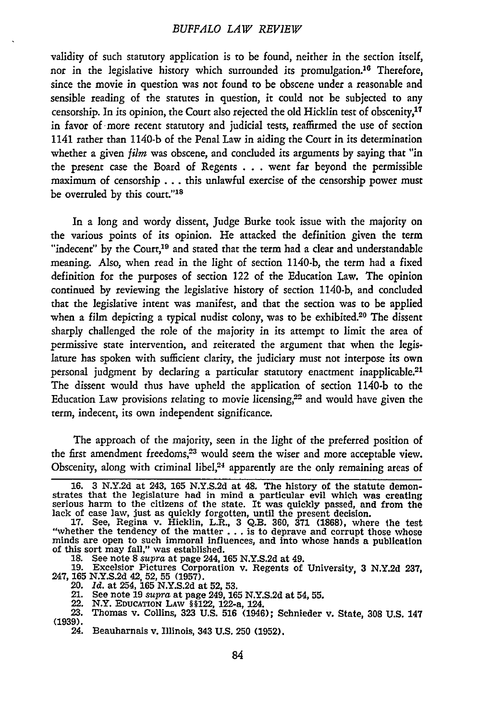#### *BUFFALO LAW REVIEW*

validity of such statutory application is to be found, neither in the section itself, nor in the legislative history which surrounded its promulgation.<sup>16</sup> Therefore, since the movie in question was not found to be obscene under a reasonable and sensible reading of the statutes in question, it could not be subjected to any censorship. In its opinion, the Court also rejected the old Hicklin test of obscenity, <sup>17</sup> in favor of more recent statutory and judicial tests, reaffirmed the use of section 1141 rather than 1140-b of the Penal Law in aiding the Court in its determination whether a given *film* was obscene, and concluded its arguments by saying that "in the present case the Board of Regents . **..** went far beyond the permissible maximum of censorship **...** this unlawful exercise of the censorship power must be overruled by this court."<sup>18</sup>

In a long and wordy dissent, Judge Burke took issue with the majority on the various points of its opinion. He attacked the definition given the term "indecent" by the Court,<sup>19</sup> and stated that the term had a clear and understandable meaning. Also, when read in the light of section 1140-b, the term had a fixed definition for the purposes of section 122 of the Education Law. The opinion continued by reviewing the legislative history of section 1140-b, and concluded that the legislative intent was manifest, and that the section was to be applied when a film depicting a typical nudist colony, was to be exhibited.<sup>20</sup> The dissent sharply challenged the role of the majority in its attempt to limit the area of permissive state intervention, and reiterated the argument that when the legislature has spoken with sufficient clarity, the judiciary must not interpose its own personal judgment by declaring a particular statutory enactment inapplicable.<sup>21</sup> The dissent would thus have upheld the application of section 1140-b to the Education Law provisions relating to movie licensing,<sup>22</sup> and would have given the term, indecent, its own independent significance.

The approach of the majority, seen in the light of the preferred position of the first amendment freedoms,<sup>23</sup> would seem the wiser and more acceptable view. Obscenity, along with criminal libel, $24$  apparently are the only remaining areas of

- 
- 21. See note **19** *supra* at page 249, **165 N.Y.S.2d** at 54, **55.** 22. N.Y. **EDUCATION** LAW § §122, 122-a, 124.
- 

**<sup>16.</sup>** 3 N.Y.2d at 243, **165 N.Y.S.2d** at 48. The history of the statute demonstrates that the legislature had in mind a particular evil which was creating serious harm to the citizens of the state. It was quickly passed, and from the lack of case law, just as quickly forgotten, until the present decision.

**<sup>17.</sup>** See, Regina v. Hicklin, L.R., 3 Q.B. 360, **371** (1868), where the test "whether the tendency of the matter... is to deprave and corrupt those whose minds are open to such immoral influences, and into whose hands a publication of this sort may fall," was established. **18.** See note 8 *supra* at page 244, **165** N.Y.S.2d at 49.

<sup>19.</sup> Excelsior Pictures Corporation v. Regents of University, 3 N.Y.2d 237, 19. Excelsior Pictures Co. 247, 165 N.Y.S.2d 42, 52, 55 (1957).<br>20. *Id.* at 254, 165 N.Y.S.2d at 52, 53.<br><sup>21</sup> See note 19 supra at page 249, 16

**<sup>23.</sup>** Thomas v. Collins, **323 U.S. 516** (1946); Schnieder v. State, **308 U.S.** 147 **(1939).**

<sup>24.</sup> Beauharnais v. Illinois, 343 **U.S. 250 (1952).**